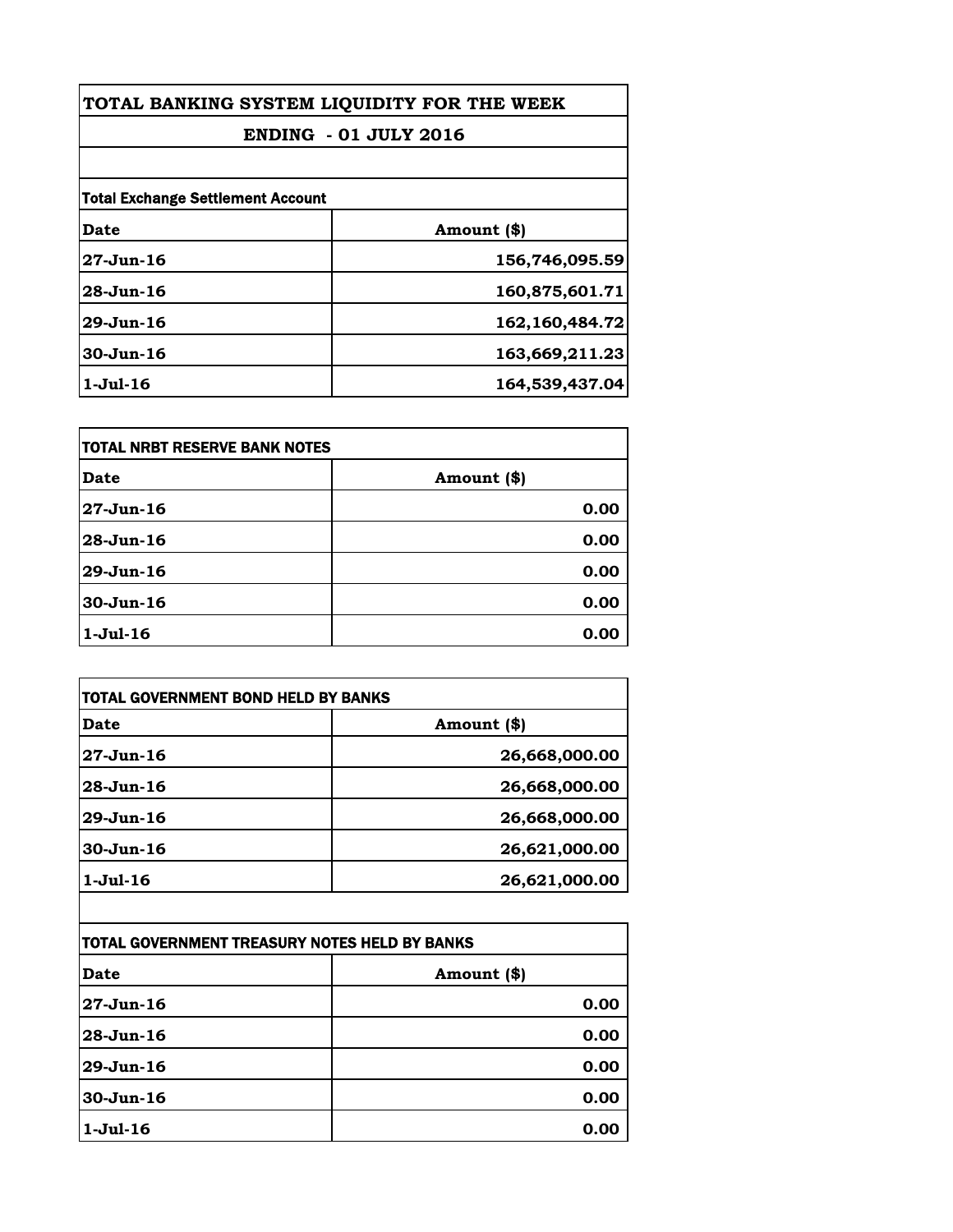| TOTAL BANKING SYSTEM LIQUIDITY FOR THE WEEK<br><b>ENDING - 01 JULY 2016</b> |                |
|-----------------------------------------------------------------------------|----------------|
|                                                                             |                |
| <b>Total Exchange Settlement Account</b>                                    |                |
| Date                                                                        | Amount (\$)    |
| $27 - Jun - 16$                                                             | 156,746,095.59 |
| $28 - Jun - 16$                                                             | 160,875,601.71 |
| $29$ -Jun-16                                                                | 162,160,484.72 |
| $30 - Jun-16$                                                               | 163,669,211.23 |
| $1-Ju1-16$                                                                  | 164,539,437.04 |

| itotal NRBT RESERVE BANK NOTES |             |
|--------------------------------|-------------|
| Date                           | Amount (\$) |
| 27-Jun-16                      | 0.00        |
| $28 - Jun - 16$                | 0.00        |
| 29-Jun-16                      | 0.00        |
| $30 - Jun-16$                  | 0.00        |
| $1-Jul-16$                     | 0.00        |

| TOTAL GOVERNMENT BOND HELD BY BANKS           |               |
|-----------------------------------------------|---------------|
| Date                                          | Amount (\$)   |
| 27-Jun-16                                     | 26,668,000.00 |
| 28-Jun-16                                     | 26,668,000.00 |
| 29-Jun-16                                     | 26,668,000.00 |
| 30-Jun-16                                     | 26,621,000.00 |
| $1-Jul-16$                                    | 26,621,000.00 |
| TOTAL GOVERNMENT TREASURY NOTES HELD BY BANKS |               |
| Date                                          | Amount (\$)   |
| 27-Jun-16                                     | 0.00          |
| 28-Jun-16                                     | 0.00          |
| 29-Jun-16                                     | 0.00          |
| 30-Jun-16                                     | 0.00          |
| $1-Jul-16$                                    | 0.00          |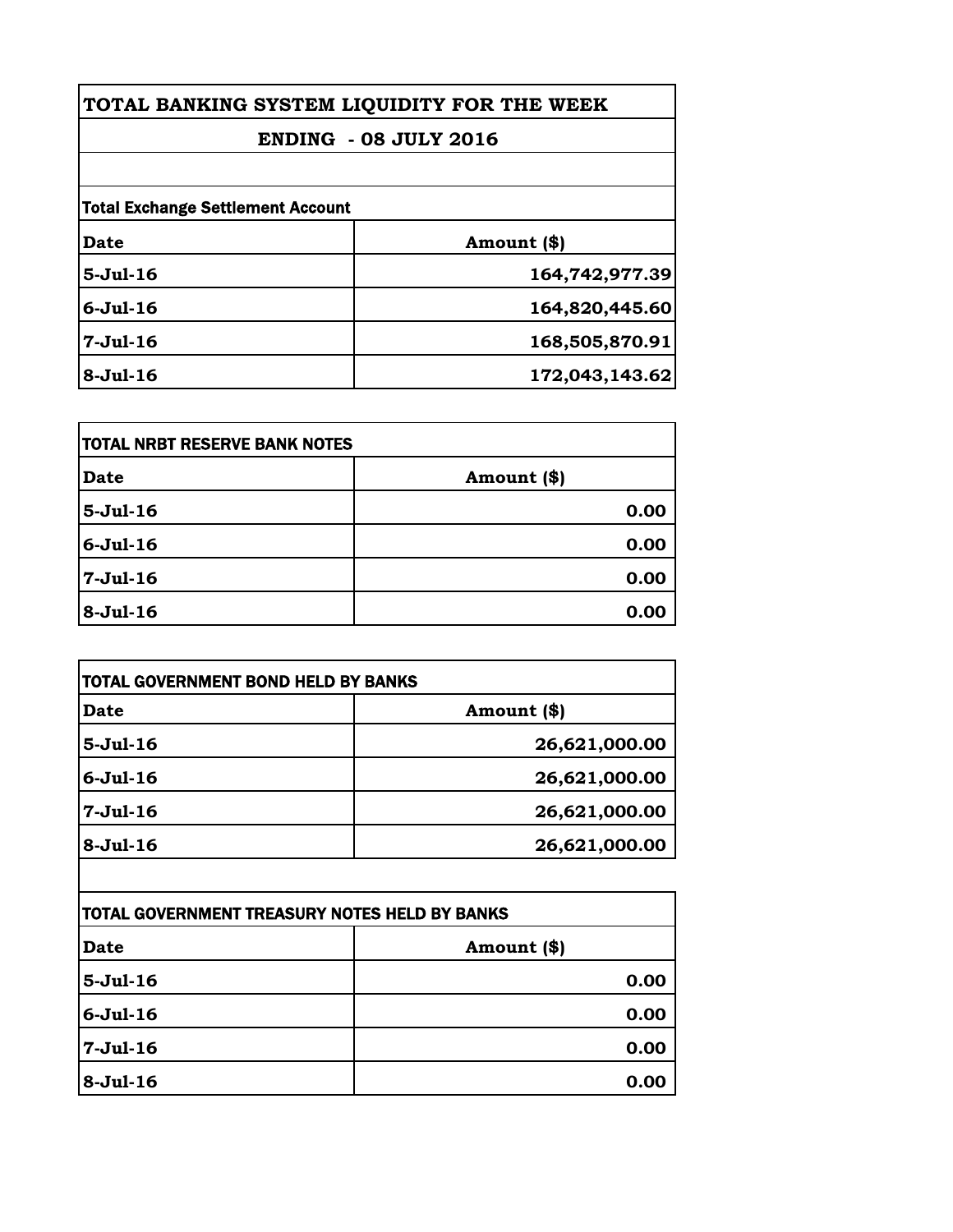| TOTAL BANKING SYSTEM LIQUIDITY FOR THE WEEK |                |
|---------------------------------------------|----------------|
| <b>ENDING - 08 JULY 2016</b>                |                |
|                                             |                |
| <b>Total Exchange Settlement Account</b>    |                |
| <b>Date</b>                                 | Amount (\$)    |
| $5-Jul-16$                                  | 164,742,977.39 |
| $6 -$ Jul $-16$                             | 164,820,445.60 |
| $7-Jul-16$                                  | 168,505,870.91 |
| $8-Jul-16$                                  | 172,043,143.62 |

| <b>TOTAL NRBT RESERVE BANK NOTES</b> |             |
|--------------------------------------|-------------|
| <b>Date</b>                          | Amount (\$) |
| $5-Jul-16$                           | 0.00        |
| $6 -$ Jul $-16$                      | 0.00        |
| 7-Jul-16                             | 0.00        |
| $8-Jul-16$                           | 0.00        |

| TOTAL GOVERNMENT BOND HELD BY BANKS |               |
|-------------------------------------|---------------|
| <b>Date</b>                         | Amount (\$)   |
| $5-Jul-16$                          | 26,621,000.00 |
| $6 -$ Jul $-16$                     | 26,621,000.00 |
| $7-Jul-16$                          | 26,621,000.00 |
| $8-Jul-16$                          | 26,621,000.00 |

| <b>TOTAL GOVERNMENT TREASURY NOTES HELD BY BANKS</b> |             |
|------------------------------------------------------|-------------|
| <b>Date</b>                                          | Amount (\$) |
| $5-Jul-16$                                           | 0.00        |
| $6 -$ Jul $-16$                                      | 0.00        |
| 7-Jul-16                                             | 0.00        |
| $8 - Jul - 16$                                       | 0.00        |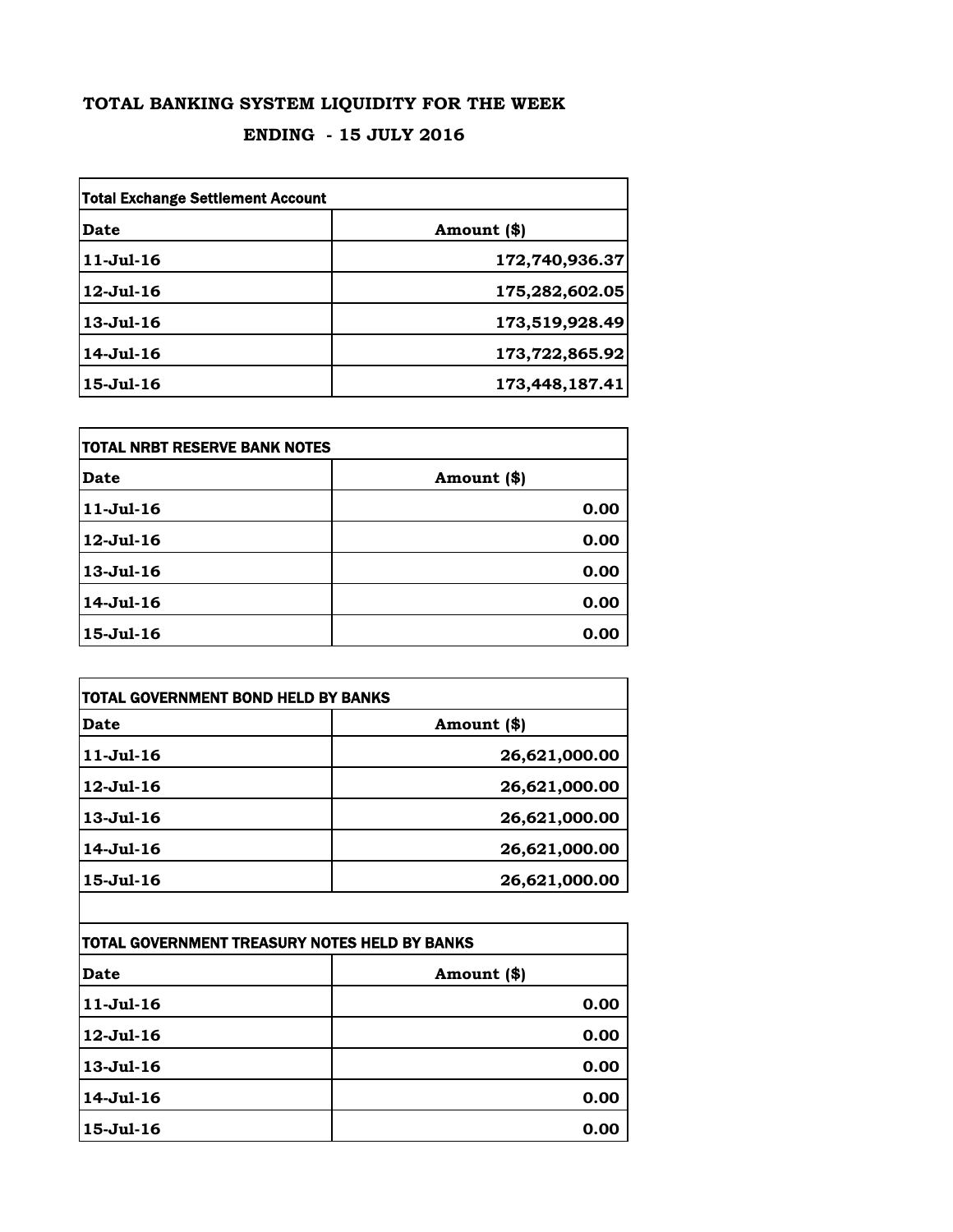## **TOTAL BANKING SYSTEM LIQUIDITY FOR THE WEEK**

## **ENDING - 15 JULY 2016**

| <b>Total Exchange Settlement Account</b> |                |
|------------------------------------------|----------------|
| Date                                     | Amount (\$)    |
| $11-Jul-16$                              | 172,740,936.37 |
| $12 -$ Jul-16                            | 175,282,602.05 |
| $13 - Jul - 16$                          | 173,519,928.49 |
| $14 -$ Jul $-16$                         | 173,722,865.92 |
| $15 -$ Jul $-16$                         | 173,448,187.41 |

| itotal NRBT RESERVE BANK NOTES |             |
|--------------------------------|-------------|
| <b>Date</b>                    | Amount (\$) |
| $11 -$ Jul $-16$               | 0.00        |
| 12-Jul-16                      | 0.00        |
| 13-Jul-16                      | 0.00        |
| 14-Jul-16                      | 0.00        |
| $15 -$ Jul $-16$               | 0.00        |

| Date             | Amount (\$)   |
|------------------|---------------|
| $11 -$ Jul $-16$ | 26,621,000.00 |
| $12$ -Jul- $16$  | 26,621,000.00 |
| $13 - Jul - 16$  | 26,621,000.00 |
| 14-Jul-16        | 26,621,000.00 |
| 15-Jul-16        | 26,621,000.00 |
|                  |               |

| <b>TOTAL GOVERNMENT TREASURY NOTES HELD BY BANKS</b> |             |
|------------------------------------------------------|-------------|
| Date                                                 | Amount (\$) |
| $11 -$ Jul $-16$                                     | 0.00        |
| $12 -$ Jul $-16$                                     | 0.00        |
| $13 - Jul - 16$                                      | 0.00        |
| 14-Jul-16                                            | 0.00        |
| $15 -$ Jul $-16$                                     | 0.00        |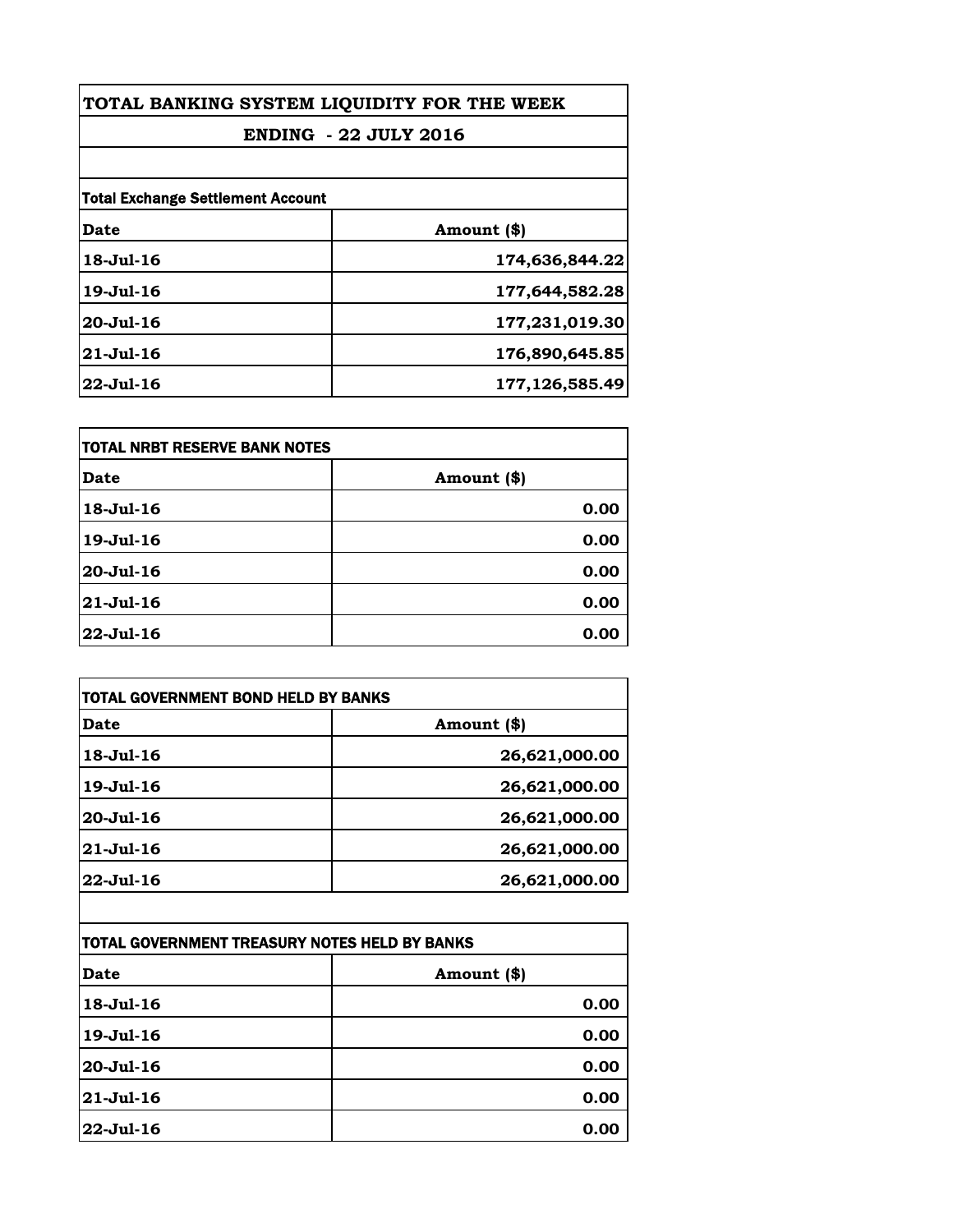| TOTAL BANKING SYSTEM LIQUIDITY FOR THE WEEK<br><b>ENDING - 22 JULY 2016</b> |                |
|-----------------------------------------------------------------------------|----------------|
|                                                                             |                |
| <b>Total Exchange Settlement Account</b>                                    |                |
| Date                                                                        | Amount (\$)    |
| 18-Jul-16                                                                   | 174,636,844.22 |
| 19-Jul-16                                                                   | 177,644,582.28 |
| $20 -$ Jul $-16$                                                            | 177,231,019.30 |
| $21 - Jul - 16$                                                             | 176,890,645.85 |
| $22 -$ Jul-16                                                               | 177,126,585.49 |

| itotal NRBT RESERVE BANK NOTES |             |
|--------------------------------|-------------|
| <b>Date</b>                    | Amount (\$) |
| $18 - Jul - 16$                | 0.00        |
| $19 - Jul - 16$                | 0.00        |
| 20-Jul-16                      | 0.00        |
| $21 - Jul - 16$                | 0.00        |
| $22 -$ Jul-16                  | 0.00        |

| Date             | Amount (\$)   |
|------------------|---------------|
| 18-Jul-16        | 26,621,000.00 |
| 19-Jul-16        | 26,621,000.00 |
| $20 -$ Jul $-16$ | 26,621,000.00 |
| $21 -$ Jul $-16$ | 26,621,000.00 |
| $22 -$ Jul-16    | 26,621,000.00 |

| TOTAL GOVERNMENT TREASURY NOTES HELD BY BANKS |             |
|-----------------------------------------------|-------------|
| <b>Date</b>                                   | Amount (\$) |
| 18-Jul-16                                     | 0.00        |
| 19-Jul-16                                     | 0.00        |
| 20-Jul-16                                     | 0.00        |
| $21 - Jul - 16$                               | 0.00        |
| $22 -$ Jul-16                                 | 0.00        |